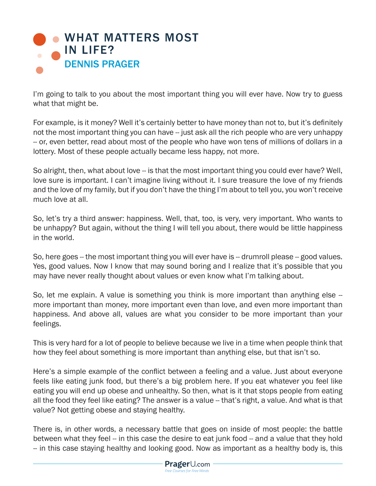

I'm going to talk to you about the most important thing you will ever have. Now try to guess what that might be.

For example, is it money? Well it's certainly better to have money than not to, but it's definitely not the most important thing you can have -- just ask all the rich people who are very unhappy -- or, even better, read about most of the people who have won tens of millions of dollars in a lottery. Most of these people actually became less happy, not more.

So alright, then, what about love -- is that the most important thing you could ever have? Well, love sure is important. I can't imagine living without it. I sure treasure the love of my friends and the love of my family, but if you don't have the thing I'm about to tell you, you won't receive much love at all.

So, let's try a third answer: happiness. Well, that, too, is very, very important. Who wants to be unhappy? But again, without the thing I will tell you about, there would be little happiness in the world.

So, here goes -- the most important thing you will ever have is -- drumroll please -- good values. Yes, good values. Now I know that may sound boring and I realize that it's possible that you may have never really thought about values or even know what I'm talking about.

So, let me explain. A value is something you think is more important than anything else more important than money, more important even than love, and even more important than happiness. And above all, values are what you consider to be more important than your feelings.

This is very hard for a lot of people to believe because we live in a time when people think that how they feel about something is more important than anything else, but that isn't so.

Here's a simple example of the conflict between a feeling and a value. Just about everyone feels like eating junk food, but there's a big problem here. If you eat whatever you feel like eating you will end up obese and unhealthy. So then, what is it that stops people from eating all the food they feel like eating? The answer is a value -- that's right, a value. And what is that value? Not getting obese and staying healthy.

There is, in other words, a necessary battle that goes on inside of most people: the battle between what they feel -- in this case the desire to eat junk food -- and a value that they hold -- in this case staying healthy and looking good. Now as important as a healthy body is, this